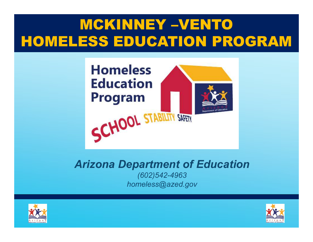## MCKINNEY –VENTO HOMELESS EDUCATION PROGRAM



#### Arizona Department of Education

(602)542-4963 homeless@azed.gov



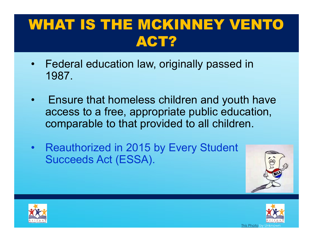# WHAT IS THE MCKINNEY VENTO ACT? **WHAT IS THE MCKINNEY VENTO<br>• Federal education law, originally passed in**<br>1987.

- 1987.
- **VIHAT IS THE MCKINNEY VENTO<br>• Federal education law, originally passed in<br>• Ensure that homeless children and youth have<br>• Ensure that homeless children and youth have<br>• comparable to that provided to all children.** access to a free, appropriate public education, comparable to that provided to all children. • Federal education law, originally passed in<br>
1987.<br>
• Ensure that homeless children and youth have<br>
access to a free, appropriate public education,<br>
comparable to that provided to all children.<br>
• Reauthorized in 2015 by
- Succeeds Act (ESSA).





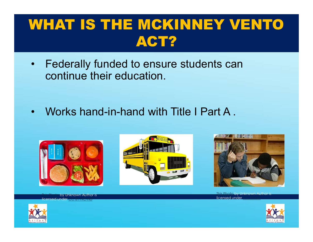# WHAT IS THE MCKINNEY VENTO ACT? **WHAT IS THE MCKINNEY VENTO<br>• Federally funded to ensure students can**<br>• continue their education. **VIHAT IS THE MCKINNEY VENT<br>• Federally funded to ensure students can<br>• Works hand-in-hand with Title I Part A .**

- continue their education.
- 









Unknown Author is licensed under



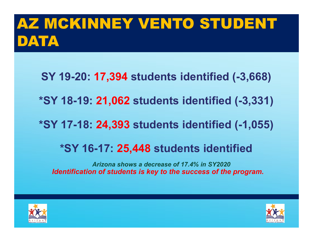# AZ MCKINNEY VENTO STUDENT DATA

- SY 19-20: 17,394 students identified (-3,668)
- \*SY 18-19: 21,062 students identified (-3,331)
- \*SY 17-18: 24,393 students identified (-1,055)

#### \*SY 16-17: 25,448 students identified

Arizona shows a decrease of 17.4% in SY2020 Identification of students is key to the success of the program.



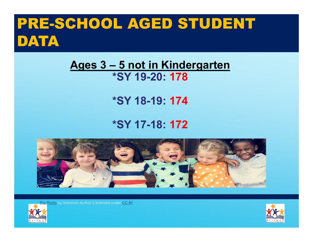# PRE-SCHOOL AGED STUDENT DATA CHOOL AGED STUDENT<br>Ages 3 – 5 not in Kindergarten<br>\*SY 19-20: 178

# \*SY 19-20: 178

#### \*SY 18-19: 174

#### \*SY 17-18: 172



his Photo by Unknown Author is licensed under CC BY



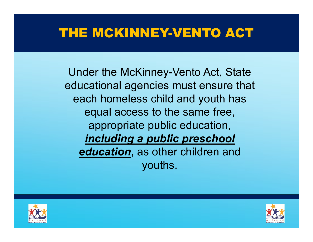### THE MCKINNEY-VENTO ACT

Under the McKinney-Vento Act, State educational agencies must ensure that each homeless child and youth has equal access to the same free, appropriate public education, including a public preschool education, as other children and youths.



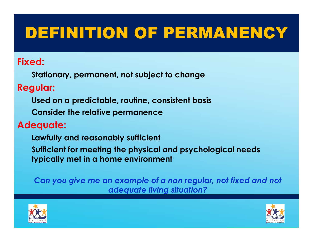# DEFINITION OF PERMANENCY

#### Fixed:

Stationary, permanent, not subject to change

#### Regular:

- Used on a predictable, routine, consistent basis
- Consider the relative permanence

#### Adequate:

- Lawfully and reasonably sufficient
- Sufficient for meeting the physical and psychological needs typically met in a home environment

Can you give me an example of a non regular, not fixed and not adequate living situation?



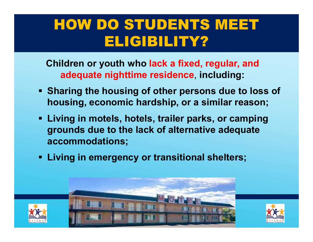## HOW DO STUDENTS MEET ELIGIBILITY?

Children or youth who lack a fixed, regular, and adequate nighttime residence, including:

- Sharing the housing of other persons due to loss of housing, economic hardship, or a similar reason;
- Living in motels, hotels, trailer parks, or camping grounds due to the lack of alternative adequate accommodations;
- **EXITED 15 FIGHT In EXAM EXITED SHEET LIGHTER FIGHTER FIGHTER FIGHTER FIGHTER FIGHTER FIGHTER FIGHTER FIGHTER FIGHTER FIGHTER FIGHTER FIGHTER FIGHTER FIGHTER FIGHTER FIGHTER FIGHTER FI**



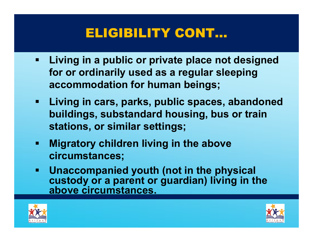### ELIGIBILITY CONT…

- Living in a public or private place not designed for or ordinarily used as a regular sleeping accommodation for human beings;
- Living in cars, parks, public spaces, abandoned buildings, substandard housing, bus or train stations, or similar settings;
- Migratory children living in the above circumstances;
- Unaccompanied youth (not in the physical custody or a parent or guardian) living in the above circumstances.



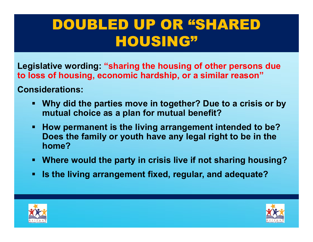## DOUBLED UP OR "SHARED HOUSING"

Legislative wording: "sharing the housing of other persons due to loss of housing, economic hardship, or a similar reason"

Considerations:

- Why did the parties move in together? Due to a crisis or by mutual choice as a plan for mutual benefit?
- **How permanent is the living arrangement intended to be?** Does the family or youth have any legal right to be in the home?
- Where would the party in crisis live if not sharing housing?
- Is the living arrangement fixed, regular, and adequate?



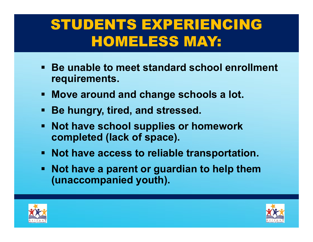## STUDENTS EXPERIENCING HOMELESS MAY:

- Be unable to meet standard school enrollment requirements.
- Move around and change schools a lot.
- Be hungry, tired, and stressed.
- Not have school supplies or homework completed (lack of space).
- Not have access to reliable transportation.
- Not have a parent or guardian to help them (unaccompanied youth).



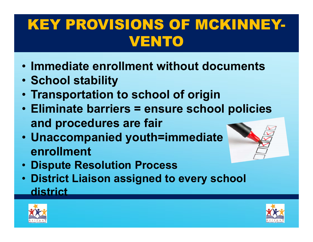## KEY PROVISIONS OF MCKINNEY-VENTO

- Immediate enrollment without documents
- School stability
- Transportation to school of origin
- Eliminate barriers = ensure school policies and procedures are fair
- Unaccompanied youth=immediate enrollment



- Dispute Resolution Process
- District Liaison assigned to every school district